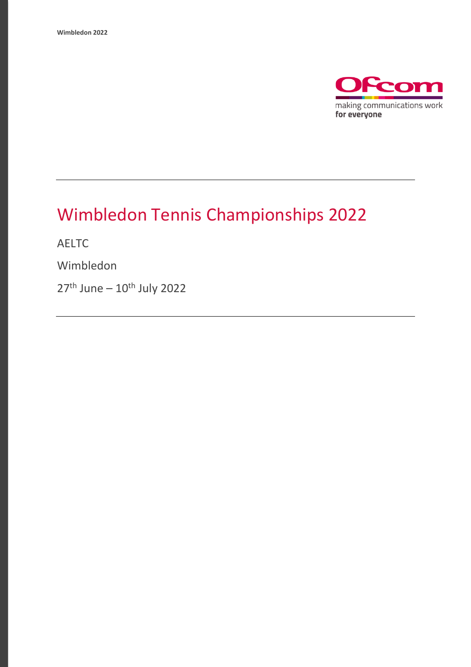

## Wimbledon Tennis Championships 2022

AELTC

Wimbledon

27<sup>th</sup> June – 10<sup>th</sup> July 2022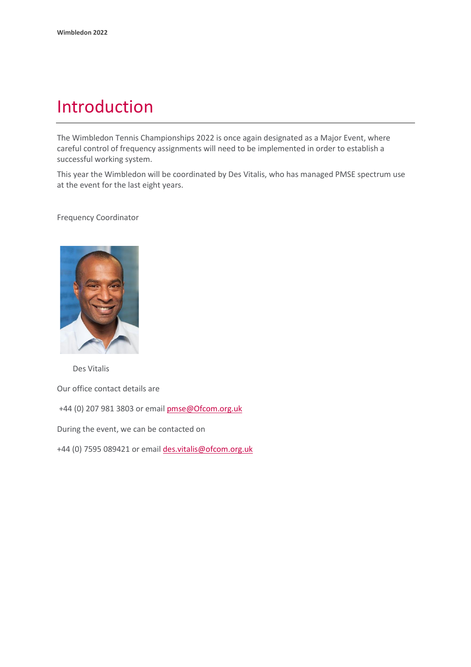### Introduction

The Wimbledon Tennis Championships 2022 is once again designated as a Major Event, where careful control of frequency assignments will need to be implemented in order to establish a successful working system.

This year the Wimbledon will be coordinated by Des Vitalis, who has managed PMSE spectrum use at the event for the last eight years.

Frequency Coordinator



Des Vitalis

Our office contact details are

+44 (0) 207 981 3803 or emai[l pmse@Ofcom.org.uk](mailto:pmse@arqiva.com)

During the event, we can be contacted on

+44 (0) 7595 089421 or email des.vitalis@ofcom.org.uk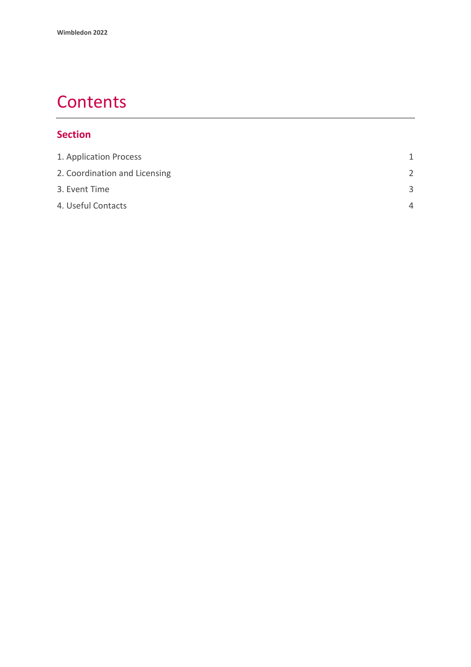### **Contents**

#### **Section**

| 1. Application Process        | 1             |
|-------------------------------|---------------|
| 2. Coordination and Licensing | $\mathcal{P}$ |
| 3. Event Time                 | З             |
| 4. Useful Contacts            | $\Delta$      |
|                               |               |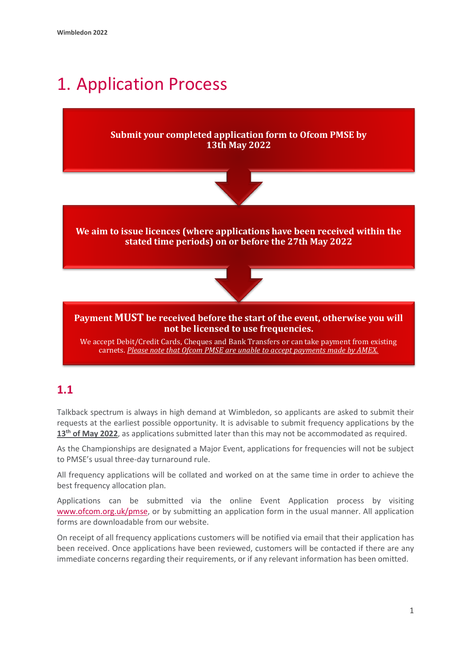# <span id="page-3-0"></span>1. Application Process

#### **Submit your completed application form to Ofcom PMSE by 13th May 2022**



**We aim to issue licences (where applications have been received within the stated time periods) on or before the 27th May 2022**



#### **Payment MUST be received before the start of the event, otherwise you will not be licensed to use frequencies.**

We accept Debit/Credit Cards, Cheques and Bank Transfers or can take payment from existing carnets. *Please note that Ofcom PMSE are unable to accept payments made by AMEX.*

### **1.1**

Talkback spectrum is always in high demand at Wimbledon, so applicants are asked to submit their requests at the earliest possible opportunity. It is advisable to submit frequency applications by the **13 th of May 2022**, as applications submitted later than this may not be accommodated as required.

As the Championships are designated a Major Event, applications for frequencies will not be subject to PMSE's usual three-day turnaround rule.

All frequency applications will be collated and worked on at the same time in order to achieve the best frequency allocation plan.

Applications can be submitted via the online Event Application process by visiting [www.ofcom.org.uk/pmse,](http://www.ofcom.org.uk/pmse) or by submitting an application form in the usual manner. All application forms are downloadable from our website.

On receipt of all frequency applications customers will be notified via email that their application has been received. Once applications have been reviewed, customers will be contacted if there are any immediate concerns regarding their requirements, or if any relevant information has been omitted.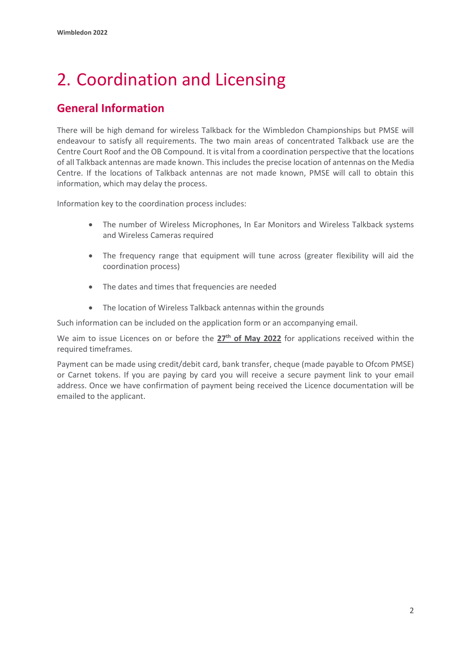# <span id="page-4-0"></span>2. Coordination and Licensing

### **General Information**

There will be high demand for wireless Talkback for the Wimbledon Championships but PMSE will endeavour to satisfy all requirements. The two main areas of concentrated Talkback use are the Centre Court Roof and the OB Compound. It is vital from a coordination perspective that the locations of all Talkback antennas are made known. This includes the precise location of antennas on the Media Centre. If the locations of Talkback antennas are not made known, PMSE will call to obtain this information, which may delay the process.

Information key to the coordination process includes:

- The number of Wireless Microphones, In Ear Monitors and Wireless Talkback systems and Wireless Cameras required
- The frequency range that equipment will tune across (greater flexibility will aid the coordination process)
- The dates and times that frequencies are needed
- The location of Wireless Talkback antennas within the grounds

Such information can be included on the application form or an accompanying email.

We aim to issue Licences on or before the **27th of May 2022** for applications received within the required timeframes.

Payment can be made using credit/debit card, bank transfer, cheque (made payable to Ofcom PMSE) or Carnet tokens. If you are paying by card you will receive a secure payment link to your email address. Once we have confirmation of payment being received the Licence documentation will be emailed to the applicant.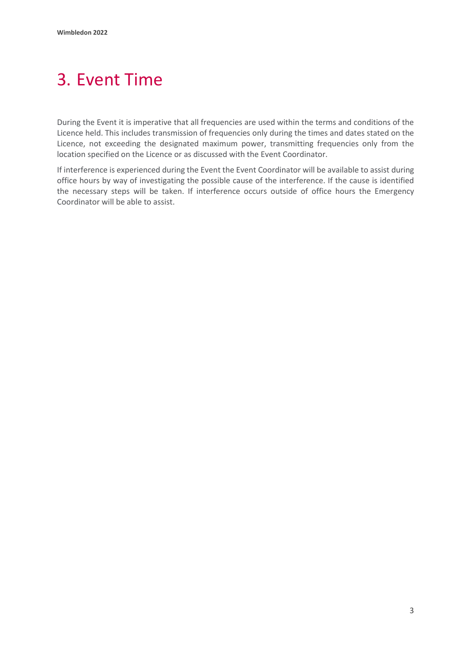## <span id="page-5-0"></span>3. Event Time

During the Event it is imperative that all frequencies are used within the terms and conditions of the Licence held. This includes transmission of frequencies only during the times and dates stated on the Licence, not exceeding the designated maximum power, transmitting frequencies only from the location specified on the Licence or as discussed with the Event Coordinator.

If interference is experienced during the Event the Event Coordinator will be available to assist during office hours by way of investigating the possible cause of the interference. If the cause is identified the necessary steps will be taken. If interference occurs outside of office hours the Emergency Coordinator will be able to assist.